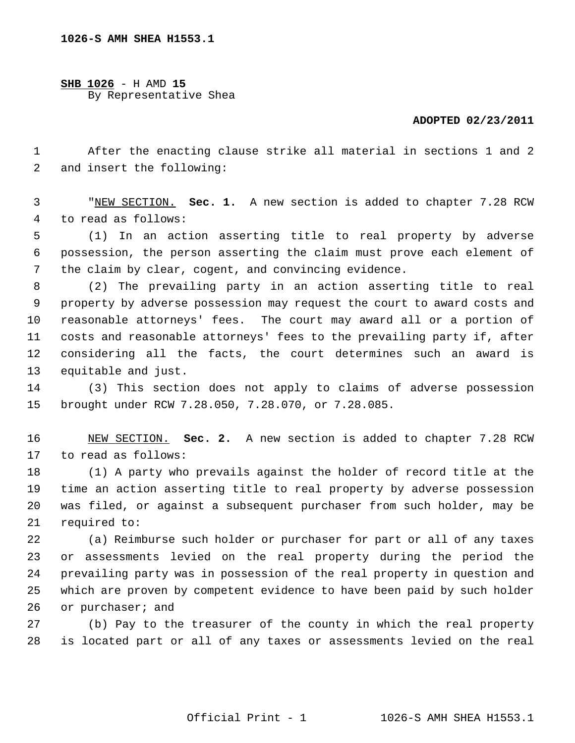**1026-S AMH SHEA H1553.1**

**SHB 1026** - H AMD **15** By Representative Shea

## **ADOPTED 02/23/2011**

 1 After the enacting clause strike all material in sections 1 and 2 2 and insert the following:

 3 "NEW SECTION. **Sec. 1.** A new section is added to chapter 7.28 RCW 4 to read as follows:

 5 (1) In an action asserting title to real property by adverse 6 possession, the person asserting the claim must prove each element of 7 the claim by clear, cogent, and convincing evidence.

 8 (2) The prevailing party in an action asserting title to real 9 property by adverse possession may request the court to award costs and 10 reasonable attorneys' fees. The court may award all or a portion of 11 costs and reasonable attorneys' fees to the prevailing party if, after 12 considering all the facts, the court determines such an award is 13 equitable and just.

14 (3) This section does not apply to claims of adverse possession 15 brought under RCW 7.28.050, 7.28.070, or 7.28.085.

16 NEW SECTION. **Sec. 2.** A new section is added to chapter 7.28 RCW 17 to read as follows:

18 (1) A party who prevails against the holder of record title at the 19 time an action asserting title to real property by adverse possession 20 was filed, or against a subsequent purchaser from such holder, may be 21 required to:

22 (a) Reimburse such holder or purchaser for part or all of any taxes 23 or assessments levied on the real property during the period the 24 prevailing party was in possession of the real property in question and 25 which are proven by competent evidence to have been paid by such holder 26 or purchaser; and

27 (b) Pay to the treasurer of the county in which the real property 28 is located part or all of any taxes or assessments levied on the real